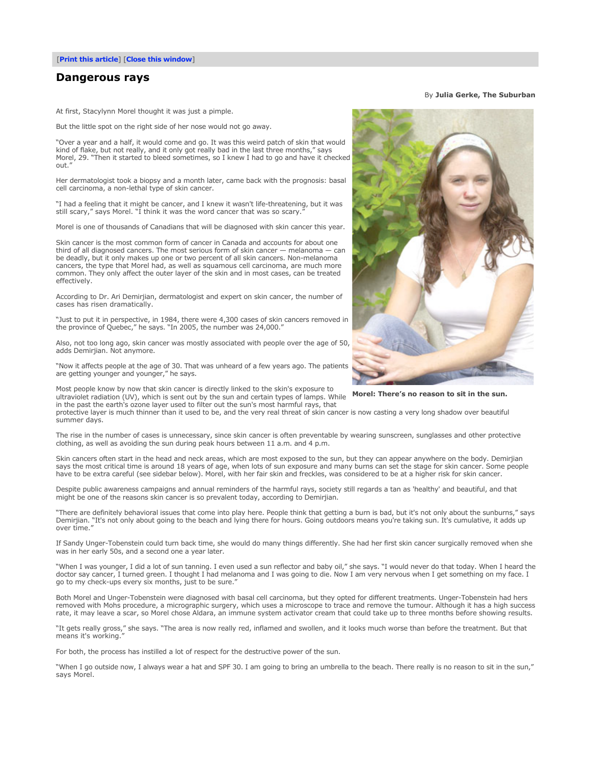## **Dangerous rays**

At first, Stacylynn Morel thought it was just a pimple.

But the little spot on the right side of her nose would not go away.

"Over a year and a half, it would come and go. It was this weird patch of skin that would kind of flake, but not really, and it only got really bad in the last three months," says Morel, 29. "Then it started to bleed sometimes, so I knew I had to go and have it checked out."

Her dermatologist took a biopsy and a month later, came back with the prognosis: basal cell carcinoma, a non-lethal type of skin cancer.

"I had a feeling that it might be cancer, and I knew it wasn't life-threatening, but it was still scary," says Morel. "I think it was the word cancer that was so scary."

Morel is one of thousands of Canadians that will be diagnosed with skin cancer this year.

Skin cancer is the most common form of cancer in Canada and accounts for about one third of all diagnosed cancers. The most serious form of skin cancer — melanoma — can be deadly, but it only makes up one or two percent of all skin cancers. Non-melanoma cancers, the type that Morel had, as well as squamous cell carcinoma, are much more common. They only affect the outer layer of the skin and in most cases, can be treated effectively.

According to Dr. Ari Demirjian, dermatologist and expert on skin cancer, the number of cases has risen dramatically.

"Just to put it in perspective, in 1984, there were 4,300 cases of skin cancers removed in the province of Quebec," he says. "In 2005, the number was 24,000."

Also, not too long ago, skin cancer was mostly associated with people over the age of 50, adds Demirjian. Not anymore.

"Now it affects people at the age of 30. That was unheard of a few years ago. The patients are getting younger and younger," he says.

way popper and **the sun.** The suntential term in the sun and certain types of lamps. While **Morel: There's no reason to sit in the sun.** Ultraviolet radiation (UV), which is sent out by the sun and certain types of lamps. Most people know by now that skin cancer is directly linked to the skin's exposure to in the past the earth's ozone layer used to filter out the sun's most harmful rays, that

protective layer is much thinner than it used to be, and the very real threat of skin cancer is now casting a very long shadow over beautiful summer days.

The rise in the number of cases is unnecessary, since skin cancer is often preventable by wearing sunscreen, sunglasses and other protective clothing, as well as avoiding the sun during peak hours between 11 a.m. and 4 p.m.

Skin cancers often start in the head and neck areas, which are most exposed to the sun, but they can appear anywhere on the body. Demirjian says the most critical time is around 18 years of age, when lots of sun exposure and many burns can set the stage for skin cancer. Some people have to be extra careful (see sidebar below). Morel, with her fair skin and freckles, was considered to be at a higher risk for skin cancer.

Despite public awareness campaigns and annual reminders of the harmful rays, society still regards a tan as 'healthy' and beautiful, and that might be one of the reasons skin cancer is so prevalent today, according to Demirjian.

"There are definitely behavioral issues that come into play here. People think that getting a burn is bad, but it's not only about the sunburns," says Demirjian. "It's not only about going to the beach and lying there for hours. Going outdoors means you're taking sun. It's cumulative, it adds up over time."

If Sandy Unger-Tobenstein could turn back time, she would do many things differently. She had her first skin cancer surgically removed when she was in her early 50s, and a second one a year later.

"When I was younger, I did a lot of sun tanning. I even used a sun reflector and baby oil," she says. "I would never do that today. When I heard the doctor say cancer, I turned green. I thought I had melanoma and I was going to die. Now I am very nervous when I get something on my face. I go to my check-ups every six months, just to be sure."

Both Morel and Unger-Tobenstein were diagnosed with basal cell carcinoma, but they opted for different treatments. Unger-Tobenstein had hers removed with Mohs procedure, a micrographic surgery, which uses a microscope to trace and remove the tumour. Although it has a high success rate, it may leave a scar, so Morel chose Aldara, an immune system activator cream that could take up to three months before showing results.

"It gets really gross," she says. "The area is now really red, inflamed and swollen, and it looks much worse than before the treatment. But that means it's working.

For both, the process has instilled a lot of respect for the destructive power of the sun.

"When I go outside now, I always wear a hat and SPF 30. I am going to bring an umbrella to the beach. There really is no reason to sit in the sun," says Morel.



By **Julia Gerke, The Suburban**